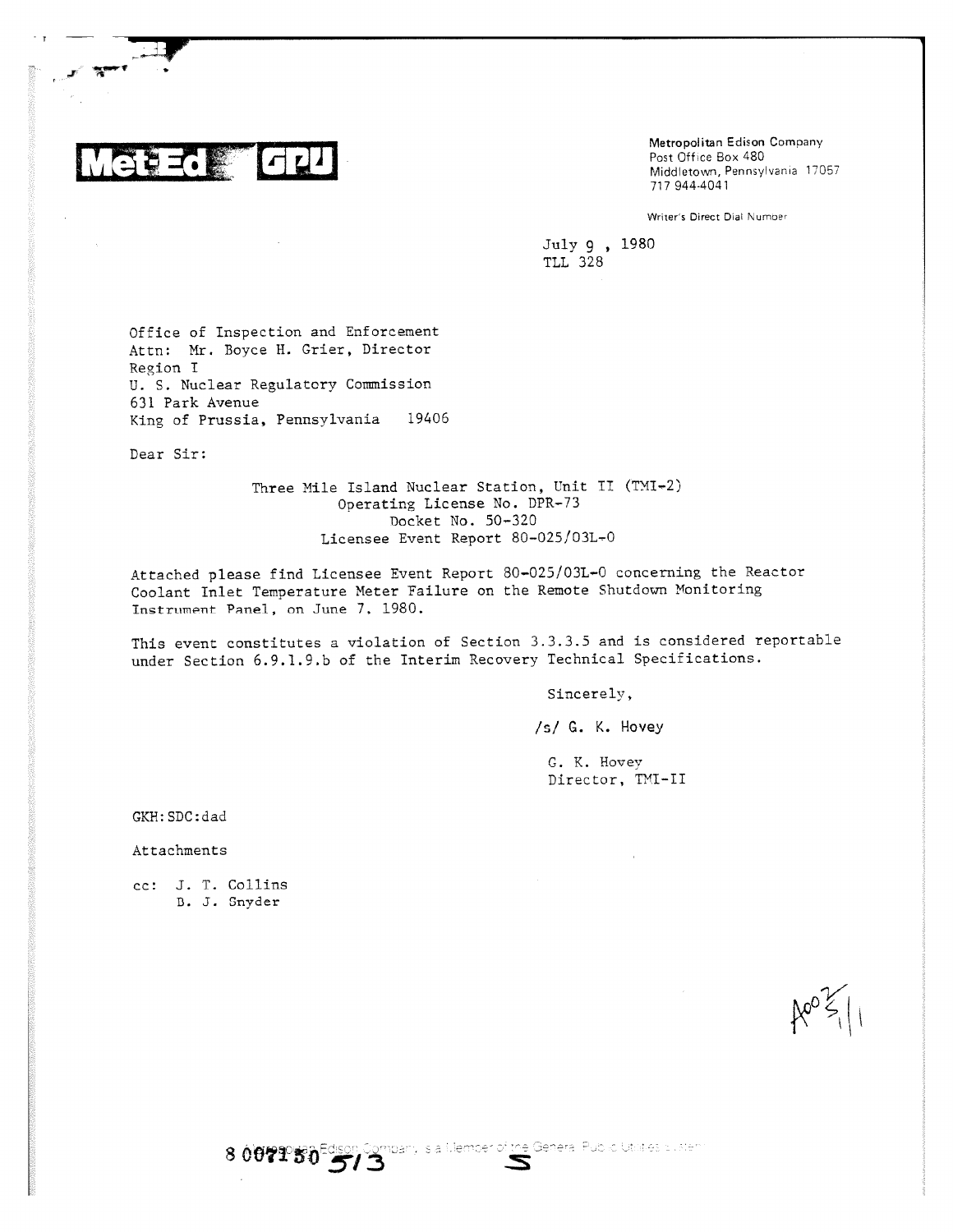

Metropolitan Edison Company Post Office Box 480 Middletown, Pennsylvania 17057 717 944-4041

Writer's Direct Dial Nurnoer

July 9 , 1980 TLL 328

Office of Inspection and Enforcement Attn: Mr. Boyce H. Grier, Director Region I U. S. Nuclear Regulatory Commission 631 Park Avenue King of Prussia, Pennsylvania 19406

Dear Sir:

Three Mile Island Nuclear Station, Unit II (TMI-2) Operating License No. DPR-73 Docket No. 50-320 Licensee Event Report 80-025/03L-0

Attached please find Licensee Event Report 80-025/03L-0 concerning the Reactor Coolant Inlet Temperature Meter Failure on the Remote Shutdown Monitoring Instrument Panel, on June 7, 1980.

This event constitutes a violation of Section 3.3.3.5 and is considered reportable under Section 6.9.1.9.b of the Interim Recovery Technical Specifications.

Sincerely,

/s/ G. K. Hovey

G. K. Hovey Director, TMI-II

GKH:SDC:dad

Attachments

cc: J. T. Collins D. J. Snyder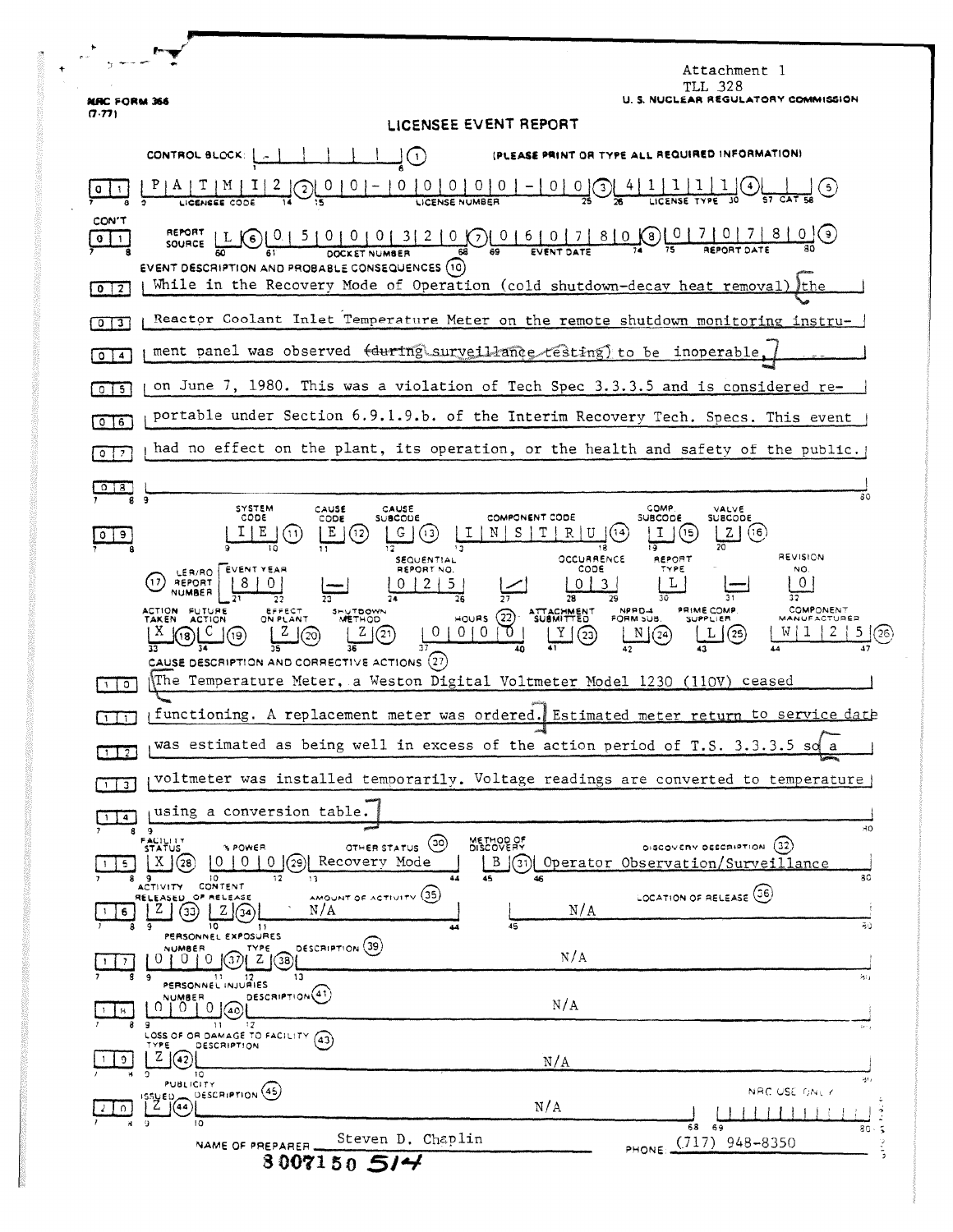|                                                                                                                                                                                                                                                                                                                                                                                                                                                                                                                                                                 | Attachment 1<br>TLL 328                                                                                                                  |
|-----------------------------------------------------------------------------------------------------------------------------------------------------------------------------------------------------------------------------------------------------------------------------------------------------------------------------------------------------------------------------------------------------------------------------------------------------------------------------------------------------------------------------------------------------------------|------------------------------------------------------------------------------------------------------------------------------------------|
| <b>NRC FORM 366</b><br>(7.77)                                                                                                                                                                                                                                                                                                                                                                                                                                                                                                                                   | U. S. NUCLEAR REGULATORY COMMISSION                                                                                                      |
| LICENSEE EVENT REPORT<br>CONTROL BLOCK: [  ]<br>(PLEASE PRINT OR TYPE ALL REQUIRED INFORMATION)<br>$\bigcirc$                                                                                                                                                                                                                                                                                                                                                                                                                                                   |                                                                                                                                          |
|                                                                                                                                                                                                                                                                                                                                                                                                                                                                                                                                                                 |                                                                                                                                          |
| CON'T<br>$\mathbf{0}$<br>$\mathbf{1}$<br>EVENT DESCRIPTION AND PROBABLE CONSEQUENCES (10)<br>While in the Recovery Mode of Operation (cold shutdown-decay heat removal) the<br>$\overline{2}$<br>$\mathbf{o}$                                                                                                                                                                                                                                                                                                                                                   |                                                                                                                                          |
| 0<br>3                                                                                                                                                                                                                                                                                                                                                                                                                                                                                                                                                          | Reactor Coolant Inlet Temperature Meter on the remote shutdown monitoring instru-                                                        |
| ment panel was observed (during surveillance resting) to be inoperable,<br>$\circ$<br>$\blacktriangleleft$                                                                                                                                                                                                                                                                                                                                                                                                                                                      |                                                                                                                                          |
| on June 7, 1980. This was a violation of Tech Spec 3.3.3.5 and is considered re-<br>$0$ $15$                                                                                                                                                                                                                                                                                                                                                                                                                                                                    |                                                                                                                                          |
| portable under Section 6.9.1.9.b. of the Interim Recovery Tech. Specs. This event<br>$0$ 6                                                                                                                                                                                                                                                                                                                                                                                                                                                                      |                                                                                                                                          |
| $\overline{\phantom{a}}$<br>$^{\circ}$                                                                                                                                                                                                                                                                                                                                                                                                                                                                                                                          | had no effect on the plant, its operation, or the health and safety of the public.                                                       |
| 018<br>g<br>9<br><b>SYSTEM</b><br>CAUSE<br>CAUSE<br>CODE<br><b>SUBCODE</b><br>CODE<br>E<br>(13                                                                                                                                                                                                                                                                                                                                                                                                                                                                  | 80<br>COMP<br>VALVE<br>COMPONENT CODE<br><b>SUBCODE</b><br>SUBCODE<br>(16)<br>z.                                                         |
| (12)<br>9.<br><b>REVISION</b><br>OCCURRENCE<br>REPORT<br><b>SEQUENTIAL</b><br>LER/RO EVENT YEAR<br>REPORT NO.<br>CODE<br>TYPE<br>NO.<br>0<br>REPORT<br>17<br>NUMBER<br>COMPONENT<br>PRIME COMP<br><b>ACTION</b><br>NPPD-4<br><b>FUTURE</b><br>EFFECT<br>ON PLANT<br>SHUTDOWN<br>HOURS (22) SUBMITTED<br>FORM SUB.<br><b>METHOD</b><br><b>SUPPLIER</b><br>MANUFACTURER<br>TAKEN<br><b>ACTION</b><br>010100<br>$Z \mid$<br>②<br>2<br>2(20)<br>$\mathbf{Y}$<br>N(24)<br>$\mathbf{L}$ $(25)$<br>(23)<br>CAUSE DESCRIPTION AND CORRECTIVE ACTIONS $\left( 27\right)$ |                                                                                                                                          |
| The Temperature Meter, a Weston Digital Voltmeter Model 1230 (110V) ceased<br>$\circ$                                                                                                                                                                                                                                                                                                                                                                                                                                                                           |                                                                                                                                          |
| functioning. A replacement meter was ordered. Estimated meter return to service date<br>$\mathbf{1}$                                                                                                                                                                                                                                                                                                                                                                                                                                                            |                                                                                                                                          |
| was estimated as being well in excess of the action period of T.S. 3.3.3.5 so a<br>$1 \perp 2$                                                                                                                                                                                                                                                                                                                                                                                                                                                                  |                                                                                                                                          |
| $\overline{\mathbf{u}}$                                                                                                                                                                                                                                                                                                                                                                                                                                                                                                                                         | voltmeter was installed temporarily. Voltage readings are converted to temperature                                                       |
| using a conversion table.<br>$\overline{4}$<br>8<br>- 9                                                                                                                                                                                                                                                                                                                                                                                                                                                                                                         | 30                                                                                                                                       |
| FACILITY<br>STATUS<br>(၁၀)<br>OTHER STATUS<br><b>NPOWER</b><br>Recovery Mode<br>0(29)<br>X.<br>$\theta$<br>0<br>(28<br>5.<br>44<br>10<br>12<br>45<br>8<br>13<br>-9<br>CONTENT<br>ACTIVITY<br>AMOUNT OF ACTIVITY (35)<br>RELEASED OF RELEASE                                                                                                                                                                                                                                                                                                                     | METHOD OF<br>DISCOVERY<br>DISCOVERY DESCRIPTION (32)<br>B<br>(31)<br>Operator Observation/Surveillance<br>80<br>LOCATION OF RELEASE (36) |
| z<br>N/A<br>33)<br>6<br>10<br>44<br>11<br>PERSONNEL EXPOSURES                                                                                                                                                                                                                                                                                                                                                                                                                                                                                                   | N/A<br>80<br>45                                                                                                                          |
| DESCRIPTION (39)<br>NUMBER<br>TYPE<br>U<br>υ<br>37<br>ΖI<br>38<br>13<br>9                                                                                                                                                                                                                                                                                                                                                                                                                                                                                       | N/A<br>涡行                                                                                                                                |
| PERSONNEL INJURIES<br>DESCRIPTION <sup>(41)</sup><br>NUMBER<br>$\Omega$<br>40)<br>H<br>9<br>11                                                                                                                                                                                                                                                                                                                                                                                                                                                                  | N/A<br>$\mathbb{C}^{2\times 2}$                                                                                                          |
| LOSS OF OR DAMAGE TO FACILITY (43)<br>DESCRIPTION<br>TYPE<br>Z<br>42<br>9.<br>10                                                                                                                                                                                                                                                                                                                                                                                                                                                                                | N/A                                                                                                                                      |
| <b>PUBLICITY</b><br>DESCRIPTION (45)<br>issueb<br>12 K<br>(44<br>10                                                                                                                                                                                                                                                                                                                                                                                                                                                                                             | W.<br>NRC USE ONLY<br>N/A                                                                                                                |
| 68<br>69<br>80<br>Steven D. Chaplin<br>(717)<br>948-8350<br>NAME OF PREPARER<br>PHONE:<br>3007150514                                                                                                                                                                                                                                                                                                                                                                                                                                                            |                                                                                                                                          |